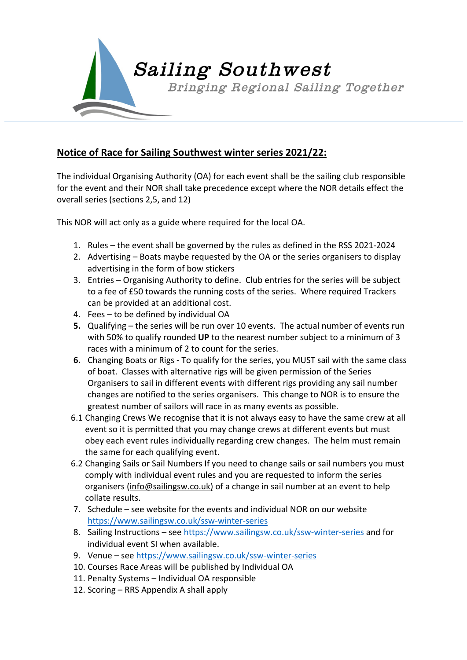

## **Notice of Race for Sailing Southwest winter series 2021/22:**

The individual Organising Authority (OA) for each event shall be the sailing club responsible for the event and their NOR shall take precedence except where the NOR details effect the overall series (sections 2,5, and 12)

This NOR will act only as a guide where required for the local OA.

- 1. Rules the event shall be governed by the rules as defined in the RSS 2021-2024
- 2. Advertising Boats maybe requested by the OA or the series organisers to display advertising in the form of bow stickers
- 3. Entries Organising Authority to define. Club entries for the series will be subject to a fee of £50 towards the running costs of the series. Where required Trackers can be provided at an additional cost.
- 4. Fees to be defined by individual OA
- **5.** Qualifying the series will be run over 10 events. The actual number of events run with 50% to qualify rounded **UP** to the nearest number subject to a minimum of 3 races with a minimum of 2 to count for the series.
- **6.** Changing Boats or Rigs To qualify for the series, you MUST sail with the same class of boat. Classes with alternative rigs will be given permission of the Series Organisers to sail in different events with different rigs providing any sail number changes are notified to the series organisers. This change to NOR is to ensure the greatest number of sailors will race in as many events as possible.
- 6.1 Changing Crews We recognise that it is not always easy to have the same crew at all event so it is permitted that you may change crews at different events but must obey each event rules individually regarding crew changes. The helm must remain the same for each qualifying event.
- 6.2 Changing Sails or Sail Numbers If you need to change sails or sail numbers you must comply with individual event rules and you are requested to inform the series organisers (info@sailingsw.co.uk) of a change in sail number at an event to help collate results.
- 7. Schedule see website for the events and individual NOR on our website https://www.sailingsw.co.uk/ssw-winter-series
- 8. Sailing Instructions see https://www.sailingsw.co.uk/ssw-winter-series and for individual event SI when available.
- 9. Venue see https://www.sailingsw.co.uk/ssw-winter-series
- 10. Courses Race Areas will be published by Individual OA
- 11. Penalty Systems Individual OA responsible
- 12. Scoring RRS Appendix A shall apply